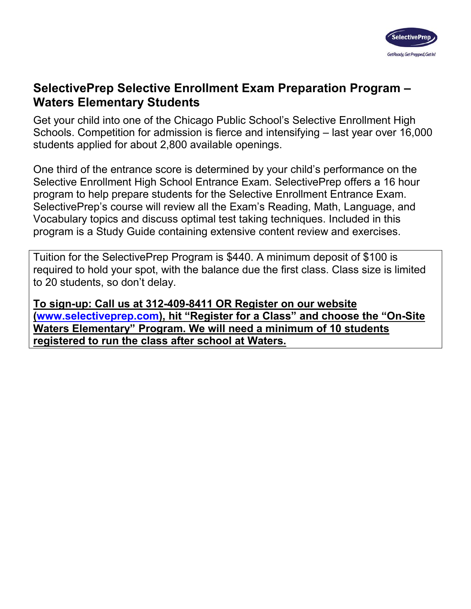

## **SelectivePrep Selective Enrollment Exam Preparation Program – Waters Elementary Students**

Get your child into one of the Chicago Public School's Selective Enrollment High Schools. Competition for admission is fierce and intensifying – last year over 16,000 students applied for about 2,800 available openings.

One third of the entrance score is determined by your child's performance on the Selective Enrollment High School Entrance Exam. SelectivePrep offers a 16 hour program to help prepare students for the Selective Enrollment Entrance Exam. SelectivePrep's course will review all the Exam's Reading, Math, Language, and Vocabulary topics and discuss optimal test taking techniques. Included in this program is a Study Guide containing extensive content review and exercises.

Tuition for the SelectivePrep Program is \$440. A minimum deposit of \$100 is required to hold your spot, with the balance due the first class. Class size is limited to 20 students, so don't delay.

**To sign-up: Call us at 312-409-8411 OR Register on our website [\(www.selectiveprep.com\)](http://www.selectiveprep.com/), hit "Register for a Class" and choose the "On-Site Waters Elementary" Program. We will need a minimum of 10 students registered to run the class after school at Waters.**